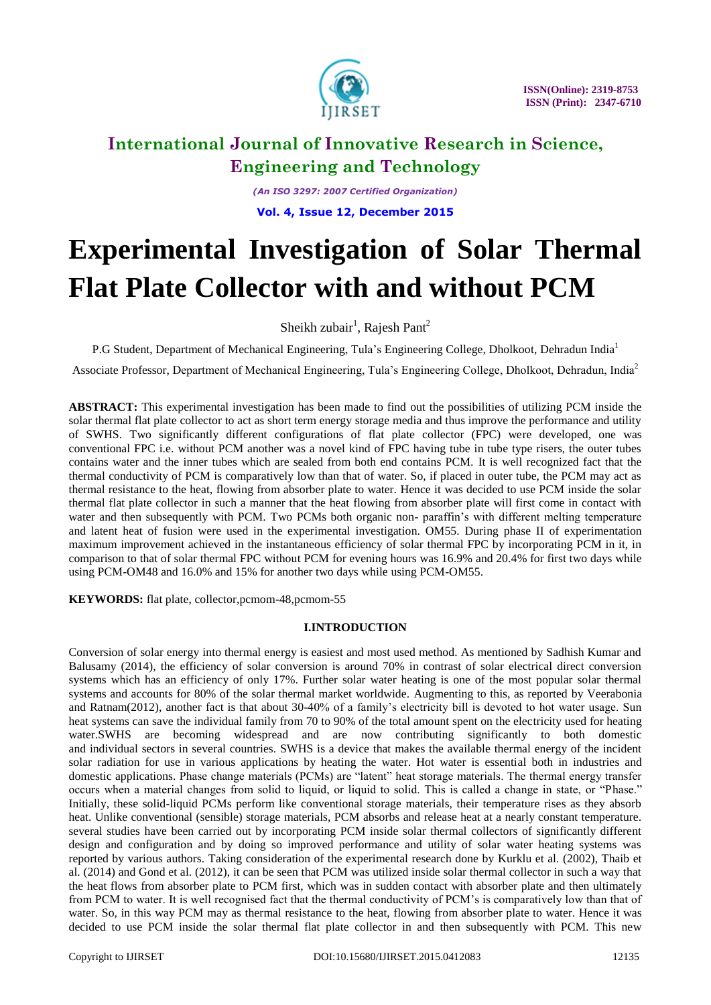

*(An ISO 3297: 2007 Certified Organization)* **Vol. 4, Issue 12, December 2015**

# **Experimental Investigation of Solar Thermal Flat Plate Collector with and without PCM**

Sheikh zubair<sup>1</sup>, Rajesh Pant<sup>2</sup>

P.G Student, Department of Mechanical Engineering, Tula's Engineering College, Dholkoot, Dehradun India<sup>1</sup>

Associate Professor, Department of Mechanical Engineering, Tula's Engineering College, Dholkoot, Dehradun, India<sup>2</sup>

**ABSTRACT:** This experimental investigation has been made to find out the possibilities of utilizing PCM inside the solar thermal flat plate collector to act as short term energy storage media and thus improve the performance and utility of SWHS. Two significantly different configurations of flat plate collector (FPC) were developed, one was conventional FPC i.e. without PCM another was a novel kind of FPC having tube in tube type risers, the outer tubes contains water and the inner tubes which are sealed from both end contains PCM. It is well recognized fact that the thermal conductivity of PCM is comparatively low than that of water. So, if placed in outer tube, the PCM may act as thermal resistance to the heat, flowing from absorber plate to water. Hence it was decided to use PCM inside the solar thermal flat plate collector in such a manner that the heat flowing from absorber plate will first come in contact with water and then subsequently with PCM. Two PCMs both organic non- paraffin's with different melting temperature and latent heat of fusion were used in the experimental investigation. OM55. During phase II of experimentation maximum improvement achieved in the instantaneous efficiency of solar thermal FPC by incorporating PCM in it, in comparison to that of solar thermal FPC without PCM for evening hours was 16.9% and 20.4% for first two days while using PCM-OM48 and 16.0% and 15% for another two days while using PCM-OM55.

**KEYWORDS:** flat plate, collector,pcmom-48,pcmom-55

### **I.INTRODUCTION**

Conversion of solar energy into thermal energy is easiest and most used method. As mentioned by Sadhish Kumar and Balusamy (2014), the efficiency of solar conversion is around 70% in contrast of solar electrical direct conversion systems which has an efficiency of only 17%. Further solar water heating is one of the most popular solar thermal systems and accounts for 80% of the solar thermal market worldwide. Augmenting to this, as reported by Veerabonia and Ratnam(2012), another fact is that about 30-40% of a family's electricity bill is devoted to hot water usage. Sun heat systems can save the individual family from 70 to 90% of the total amount spent on the electricity used for heating water.SWHS are becoming widespread and are now contributing significantly to both domestic and individual sectors in several countries. SWHS is a device that makes the available thermal energy of the incident solar radiation for use in various applications by heating the water. Hot water is essential both in industries and domestic applications. Phase change materials (PCMs) are "latent" heat storage materials. The thermal energy transfer occurs when a material changes from solid to liquid, or liquid to solid. This is called a change in state, or "Phase." Initially, these solid-liquid PCMs perform like conventional storage materials, their temperature rises as they absorb heat. Unlike conventional (sensible) storage materials, PCM absorbs and release heat at a nearly constant temperature. several studies have been carried out by incorporating PCM inside solar thermal collectors of significantly different design and configuration and by doing so improved performance and utility of solar water heating systems was reported by various authors. Taking consideration of the experimental research done by Kurklu et al. (2002), Thaib et al. (2014) and Gond et al. (2012), it can be seen that PCM was utilized inside solar thermal collector in such a way that the heat flows from absorber plate to PCM first, which was in sudden contact with absorber plate and then ultimately from PCM to water. It is well recognised fact that the thermal conductivity of PCM's is comparatively low than that of water. So, in this way PCM may as thermal resistance to the heat, flowing from absorber plate to water. Hence it was decided to use PCM inside the solar thermal flat plate collector in and then subsequently with PCM. This new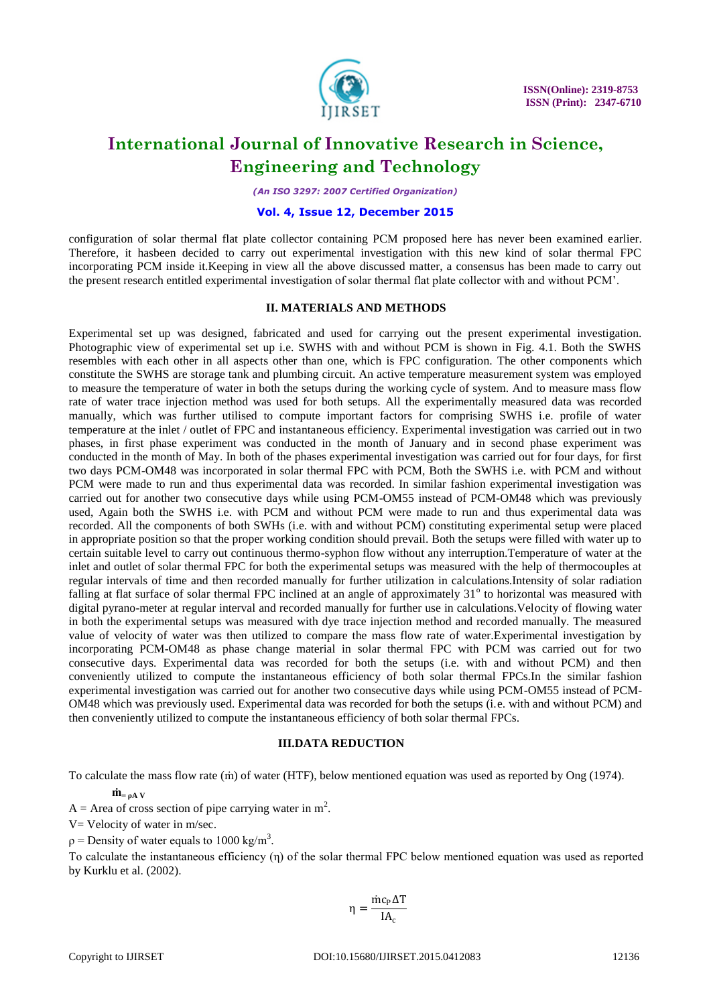

*(An ISO 3297: 2007 Certified Organization)*

### **Vol. 4, Issue 12, December 2015**

configuration of solar thermal flat plate collector containing PCM proposed here has never been examined earlier. Therefore, it hasbeen decided to carry out experimental investigation with this new kind of solar thermal FPC incorporating PCM inside it.Keeping in view all the above discussed matter, a consensus has been made to carry out the present research entitled experimental investigation of solar thermal flat plate collector with and without PCM'.

### **II. MATERIALS AND METHODS**

Experimental set up was designed, fabricated and used for carrying out the present experimental investigation. Photographic view of experimental set up i.e. SWHS with and without PCM is shown in Fig. 4.1. Both the SWHS resembles with each other in all aspects other than one, which is FPC configuration. The other components which constitute the SWHS are storage tank and plumbing circuit. An active temperature measurement system was employed to measure the temperature of water in both the setups during the working cycle of system. And to measure mass flow rate of water trace injection method was used for both setups. All the experimentally measured data was recorded manually, which was further utilised to compute important factors for comprising SWHS i.e. profile of water temperature at the inlet / outlet of FPC and instantaneous efficiency. Experimental investigation was carried out in two phases, in first phase experiment was conducted in the month of January and in second phase experiment was conducted in the month of May. In both of the phases experimental investigation was carried out for four days, for first two days PCM-OM48 was incorporated in solar thermal FPC with PCM, Both the SWHS i.e. with PCM and without PCM were made to run and thus experimental data was recorded. In similar fashion experimental investigation was carried out for another two consecutive days while using PCM-OM55 instead of PCM-OM48 which was previously used, Again both the SWHS i.e. with PCM and without PCM were made to run and thus experimental data was recorded. All the components of both SWHs (i.e. with and without PCM) constituting experimental setup were placed in appropriate position so that the proper working condition should prevail. Both the setups were filled with water up to certain suitable level to carry out continuous thermo-syphon flow without any interruption.Temperature of water at the inlet and outlet of solar thermal FPC for both the experimental setups was measured with the help of thermocouples at regular intervals of time and then recorded manually for further utilization in calculations.Intensity of solar radiation falling at flat surface of solar thermal FPC inclined at an angle of approximately  $31^\circ$  to horizontal was measured with digital pyrano-meter at regular interval and recorded manually for further use in calculations.Velocity of flowing water in both the experimental setups was measured with dye trace injection method and recorded manually. The measured value of velocity of water was then utilized to compare the mass flow rate of water.Experimental investigation by incorporating PCM-OM48 as phase change material in solar thermal FPC with PCM was carried out for two consecutive days. Experimental data was recorded for both the setups (i.e. with and without PCM) and then conveniently utilized to compute the instantaneous efficiency of both solar thermal FPCs.In the similar fashion experimental investigation was carried out for another two consecutive days while using PCM-OM55 instead of PCM-OM48 which was previously used. Experimental data was recorded for both the setups (i.e. with and without PCM) and then conveniently utilized to compute the instantaneous efficiency of both solar thermal FPCs.

### **III.DATA REDUCTION**

To calculate the mass flow rate (ṁ) of water (HTF), below mentioned equation was used as reported by Ong (1974).

 $\dot{\mathbf{m}}$  =  $_0$  A V

A = Area of cross section of pipe carrying water in  $m^2$ .

 $V=$  Velocity of water in m/sec.

 $p =$  Density of water equals to 1000 kg/m<sup>3</sup>.

To calculate the instantaneous efficiency (η) of the solar thermal FPC below mentioned equation was used as reported by Kurklu et al. (2002).

$$
\eta = \frac{\dot{m}c_{P}\Delta T}{IA_{c}}
$$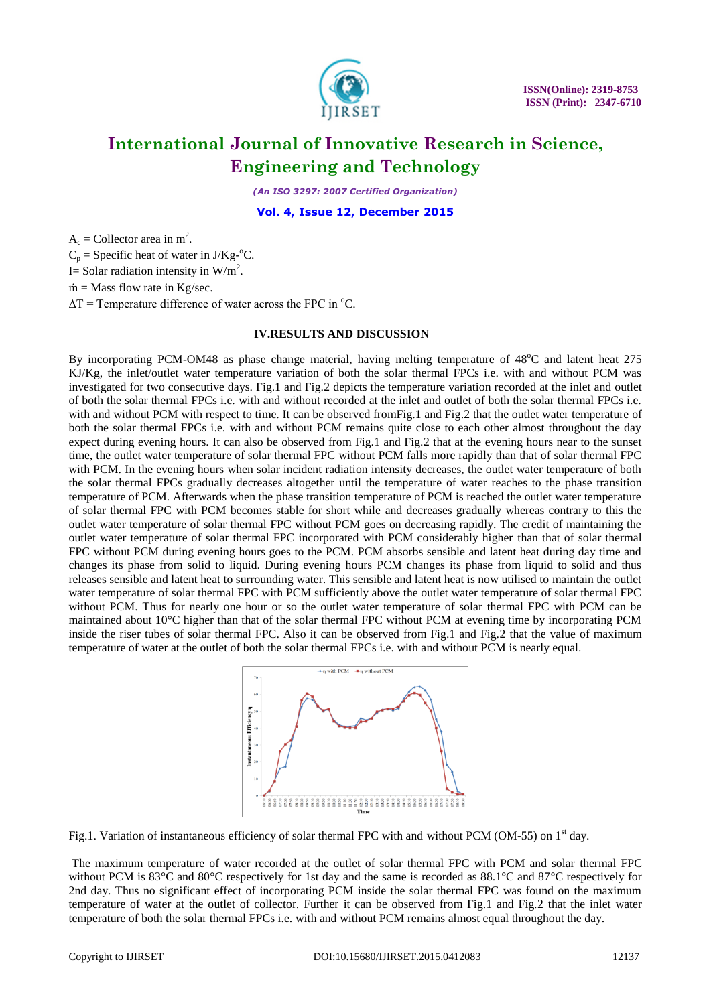

*(An ISO 3297: 2007 Certified Organization)*

**Vol. 4, Issue 12, December 2015**

 $A_c$  = Collector area in m<sup>2</sup>.

 $C_p$  = Specific heat of water in J/Kg<sup>-o</sup>C.

I= Solar radiation intensity in  $W/m^2$ .

 $\dot{m}$  = Mass flow rate in Kg/sec.

 $\Delta T$  = Temperature difference of water across the FPC in  $^{\circ}C$ .

### **IV.RESULTS AND DISCUSSION**

By incorporating PCM-OM48 as phase change material, having melting temperature of 48°C and latent heat 275 KJ/Kg, the inlet/outlet water temperature variation of both the solar thermal FPCs i.e. with and without PCM was investigated for two consecutive days. Fig.1 and Fig.2 depicts the temperature variation recorded at the inlet and outlet of both the solar thermal FPCs i.e. with and without recorded at the inlet and outlet of both the solar thermal FPCs i.e. with and without PCM with respect to time. It can be observed from Fig.1 and Fig.2 that the outlet water temperature of both the solar thermal FPCs i.e. with and without PCM remains quite close to each other almost throughout the day expect during evening hours. It can also be observed from Fig.1 and Fig.2 that at the evening hours near to the sunset time, the outlet water temperature of solar thermal FPC without PCM falls more rapidly than that of solar thermal FPC with PCM. In the evening hours when solar incident radiation intensity decreases, the outlet water temperature of both the solar thermal FPCs gradually decreases altogether until the temperature of water reaches to the phase transition temperature of PCM. Afterwards when the phase transition temperature of PCM is reached the outlet water temperature of solar thermal FPC with PCM becomes stable for short while and decreases gradually whereas contrary to this the outlet water temperature of solar thermal FPC without PCM goes on decreasing rapidly. The credit of maintaining the outlet water temperature of solar thermal FPC incorporated with PCM considerably higher than that of solar thermal FPC without PCM during evening hours goes to the PCM. PCM absorbs sensible and latent heat during day time and changes its phase from solid to liquid. During evening hours PCM changes its phase from liquid to solid and thus releases sensible and latent heat to surrounding water. This sensible and latent heat is now utilised to maintain the outlet water temperature of solar thermal FPC with PCM sufficiently above the outlet water temperature of solar thermal FPC without PCM. Thus for nearly one hour or so the outlet water temperature of solar thermal FPC with PCM can be maintained about 10°C higher than that of the solar thermal FPC without PCM at evening time by incorporating PCM inside the riser tubes of solar thermal FPC. Also it can be observed from Fig.1 and Fig.2 that the value of maximum temperature of water at the outlet of both the solar thermal FPCs i.e. with and without PCM is nearly equal.



Fig.1. Variation of instantaneous efficiency of solar thermal FPC with and without PCM (OM-55) on  $1<sup>st</sup>$  day.

The maximum temperature of water recorded at the outlet of solar thermal FPC with PCM and solar thermal FPC without PCM is 83<sup>°</sup>C and 80<sup>°</sup>C respectively for 1st day and the same is recorded as 88.1<sup>°</sup>C and 87<sup>°</sup>C respectively for 2nd day. Thus no significant effect of incorporating PCM inside the solar thermal FPC was found on the maximum temperature of water at the outlet of collector. Further it can be observed from Fig.1 and Fig.2 that the inlet water temperature of both the solar thermal FPCs i.e. with and without PCM remains almost equal throughout the day.